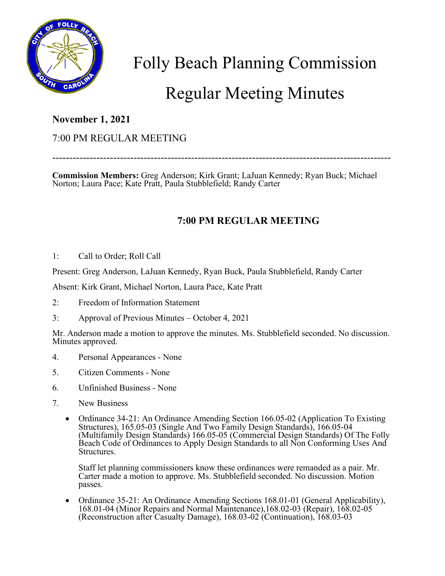

Folly Beach Planning Commission

## Regular Meeting Minutes

## **November 1, 2021**

## 7:00 PM REGULAR MEETING

**Commission Members:** Greg Anderson; Kirk Grant; LaJuan Kennedy; Ryan Buck; Michael Norton; Laura Pace; Kate Pratt, Paula Stubblefield; Randy Carter

----------------------------------------------------------------------------------------------------

## **7:00 PM REGULAR MEETING**

1: Call to Order; Roll Call

Present: Greg Anderson, LaJuan Kennedy, Ryan Buck, Paula Stubblefield, Randy Carter

Absent: Kirk Grant, Michael Norton, Laura Pace, Kate Pratt

- 2: Freedom of Information Statement
- 3: Approval of Previous Minutes October 4, 2021

Mr. Anderson made a motion to approve the minutes. Ms. Stubblefield seconded. No discussion. Minutes approved.

- 4. Personal Appearances None
- 5. Citizen Comments None
- 6. Unfinished Business None
- 7. New Business
	- Ordinance 34-21: An Ordinance Amending Section 166.05-02 (Application To Existing Structures), 165.05-03 (Single And Two Family Design Standards), 166.05-04 (Multifamily Design Standards) 166.05-05 (Commercial Design Standards) Of The Folly Beach Code of Ordinances to Apply Design Standards to all Non Conforming Uses And Structures.

Staff let planning commissioners know these ordinances were remanded as a pair. Mr. Carter made a motion to approve. Ms. Stubblefield seconded. No discussion. Motion passes.

• Ordinance 35-21: An Ordinance Amending Sections 168.01-01 (General Applicability), 168.01-04 (Minor Repairs and Normal Maintenance),168.02-03 (Repair), 168.02-05 (Reconstruction after Casualty Damage), 168.03-02 (Continuation), 168.03-03